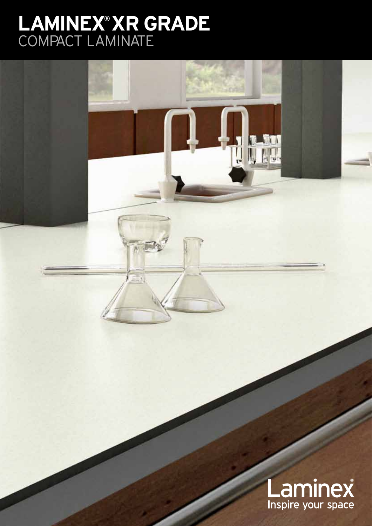# **LAMINEX® XR GRADE**<br>COMPACT LAMINATE



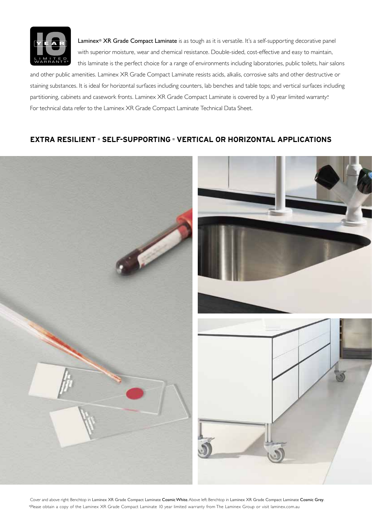

Laminex® XR Grade Compact Laminate is as tough as it is versatile. It's a self-supporting decorative panel with superior moisture, wear and chemical resistance. Double-sided, cost-effective and easy to maintain, this laminate is the perfect choice for a range of environments including laboratories, public toilets, hair salons

and other public amenities. Laminex XR Grade Compact Laminate resists acids, alkalis, corrosive salts and other destructive or staining substances. It is ideal for horizontal surfaces including counters, lab benches and table tops; and vertical surfaces including partitioning, cabinets and casework fronts. Laminex XR Grade Compact Laminate is covered by a 10 year limited warranty\*. For technical data refer to the Laminex XR Grade Compact Laminate Technical Data Sheet.

## **EXTRA RESILIENT = SELF-SUPPORTING = VERTICAL OR HORIZONTAL APPLICATIONS**



Cover and above right: Benchtop in Laminex XR Grade Compact Laminate Cosmic White. Above left: Benchtop in Laminex XR Grade Compact Laminate Cosmic Grey. \*Please obtain a copy of the Laminex XR Grade Compact Laminate 10 year limited warranty from The Laminex Group or visit laminex.com.au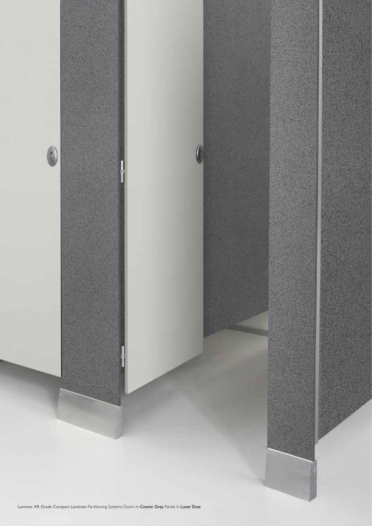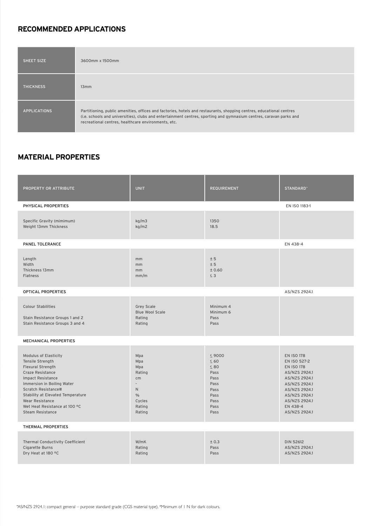# **RECOMMENDED applications**

| <b>SHEET SIZE</b>   | 3600mm x 1500mm                                                                                                                                                                                                                                                                                    |
|---------------------|----------------------------------------------------------------------------------------------------------------------------------------------------------------------------------------------------------------------------------------------------------------------------------------------------|
| <b>THICKNESS</b>    | 13mm                                                                                                                                                                                                                                                                                               |
| <b>APPLICATIONS</b> | Partitioning, public amenities, offices and factories, hotels and restaurants, shopping centres, educational centres<br>(i.e. schools and universities), clubs and entertainment centres, sporting and gymnasium centres, caravan parks and<br>recreational centres, healthcare environments, etc. |

# **material properties**

| PROPERTY OR ATTRIBUTE                                                                                                                                                                                                                                                                                               | <b>UNIT</b>                                                                                               | <b>REQUIREMENT</b>                                                                                    | STANDARD*                                                                                                                                                                                 |  |
|---------------------------------------------------------------------------------------------------------------------------------------------------------------------------------------------------------------------------------------------------------------------------------------------------------------------|-----------------------------------------------------------------------------------------------------------|-------------------------------------------------------------------------------------------------------|-------------------------------------------------------------------------------------------------------------------------------------------------------------------------------------------|--|
| PHYSICAL PROPERTIES                                                                                                                                                                                                                                                                                                 |                                                                                                           |                                                                                                       | EN ISO 1183-1                                                                                                                                                                             |  |
| Specific Gravity (mimimum)<br>Weight 13mm Thickness                                                                                                                                                                                                                                                                 | kg/m3<br>kg/m2                                                                                            | 1350<br>18.5                                                                                          |                                                                                                                                                                                           |  |
| PANEL TOLERANCE                                                                                                                                                                                                                                                                                                     |                                                                                                           |                                                                                                       | EN 438-4                                                                                                                                                                                  |  |
| Length<br>Width<br>Thickness 13mm<br><b>Flatness</b>                                                                                                                                                                                                                                                                | mm<br>mm<br>mm<br>mm/m                                                                                    | ± 5<br>± 5<br>± 0.60<br>$\leq$ 3                                                                      |                                                                                                                                                                                           |  |
| OPTICAL PROPERTIES                                                                                                                                                                                                                                                                                                  | AS/NZS 2924.1                                                                                             |                                                                                                       |                                                                                                                                                                                           |  |
| <b>Colour Stabilities</b><br>Stain Resistance Groups 1 and 2<br>Stain Resistance Groups 3 and 4                                                                                                                                                                                                                     | <b>Grey Scale</b><br><b>Blue Wool Scale</b><br>Rating<br>Rating                                           | Minimum 4<br>Minimum 6<br>Pass<br>Pass                                                                |                                                                                                                                                                                           |  |
| MECHANICAL PROPERTIES                                                                                                                                                                                                                                                                                               |                                                                                                           |                                                                                                       |                                                                                                                                                                                           |  |
| <b>Modulus of Elasticity</b><br>Tensile Strength<br><b>Flexural Strength</b><br><b>Craze Resistance</b><br><b>Impact Resistance</b><br>Immersion in Boiling Water<br>Scratch Resistance#<br>Stability at Elevated Temperature<br><b>Wear Resistance</b><br>Wet Heat Resistance at 100 °C<br><b>Steam Resistance</b> | Mpa<br>Mpa<br>Mpa<br>Rating<br>cm<br>$\overline{\phantom{a}}$<br>N.<br>$\%$<br>Cycles<br>Rating<br>Rating | $\leq 9000$<br>$\leq 60$<br>$\leq 80$<br>Pass<br>Pass<br>Pass<br>Pass<br>Pass<br>Pass<br>Pass<br>Pass | <b>EN ISO 178</b><br>EN ISO 527-2<br><b>EN ISO 178</b><br>AS/NZS 2924.1<br>AS/NZS 2924.1<br>AS/NZS 2924.1<br>AS/NZS 2924.1<br>AS/NZS 2924.1<br>AS/NZS 2924.1<br>EN 438-4<br>AS/NZS 2924.1 |  |
| THERMAL PROPERTIES                                                                                                                                                                                                                                                                                                  |                                                                                                           |                                                                                                       |                                                                                                                                                                                           |  |
| <b>Thermal Conductivity Coefficient</b><br>Cigarette Burns<br>Dry Heat at 180 °C                                                                                                                                                                                                                                    | W/mK<br>Rating<br>Rating                                                                                  | ± 0.3<br>Pass<br>Pass                                                                                 | <b>DIN 52612</b><br>AS/NZS 2924.1<br>AS/NZS 2924.1                                                                                                                                        |  |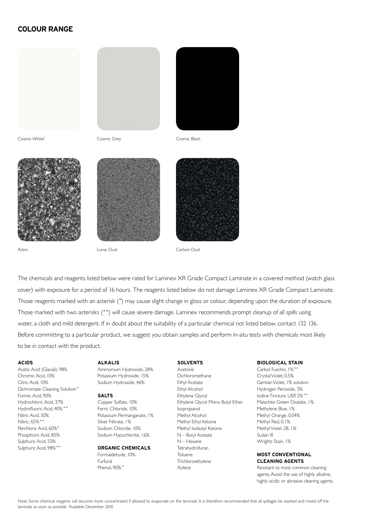## **colour range**







Cosmic White˚ Cosmic Grey Cosmic Black







Astro Lunar Dust Carbon Dust



The chemicals and reagents listed below were rated for Laminex XR Grade Compact Laminate in a covered method (watch glass cover) with exposure for a period of 16 hours. The reagents listed below do not damage Laminex XR Grade Compact Laminate. Those reagents marked with an asterisk (\*) may cause slight change in gloss or colour, depending upon the duration of exposure. Those marked with two asterisks (\*\*) will cause severe damage. Laminex recommends prompt cleanup of all spills using water, a cloth and mild detergent. If in doubt about the suitability of a particular chemical not listed below, contact 132 136. Before committing to a particular product, we suggest you obtain samples and perform in-situ tests with chemicals most likely to be in contact with the product.

#### **Acids**

Acetic Acid (Glacial), 98% Chromic Acid, 10% Citric Acid, 10% Dichromate Cleaning Solution\* Formic Acid, 90% Hydrochloric Acid, 37% Hydrofluoric Acid, 40% \*\* Nitric Acid, 30% Nitric, 65%\* Perchloric Acid, 60%\* Phosphoric Acid, 85% Sulphuric Acid, 33% Sulphuric Acid, 98%\*\*

## **Alkalis**

Ammonium Hydroxide, 28% Potassium Hydroxide, 15% Sodium Hydroxide, 46%

#### **Salts**

Copper Sulfate, 10% Ferric Chloride, 10% Potassium Permanganate, 1% Silver Nitrate, 1% Sodium Chloride, 10% Sodium Hypochlorite, 16%

### **Organic Chemicals** Formaldehyde, 10%

Furfural Phenol, 90% \*

## **Solvents**

Acetone Dichloromethane Ethyl Acetate Ethyl Alcohol Ethylene Glycol Ethylene Glycol Mono Butyl Ether Isopropanol Methyl Alcohol Methyl Ethyl Ketone Methyl Isobutyl Ketone N – Butyl Acetate N – Hexane Tetrahydrofuran Toluene **Trichloroethylene** Xylene

#### **Biological Stain**

Carbol Fuschin, 1%\* Crystal Violet, 0.5% Gentian Violet, 1% solution Hydrogen Peroxide, 3% Iodine Tincture, USP, 2%\*\* Malachite Green Oxalate, 1% Methylene Blue, 1% Methyl Orange, 0.04% Methyl Red, 0.1% Methyl Violet 2B, 1% Sudan III Wrights Stain, 1%

## **Most conventional cleaning agents**

Resistant to most common cleaning agents. Avoid the use of highly alkaline, highly acidic or abrasive cleaning agents.

Note: Some chemical reagents will become more concentrated if allowed to evaporate on the laminate. It is therefore recommended that all spillages be washed and rinsed off the laminate as soon as possible. ˚Available December 2010